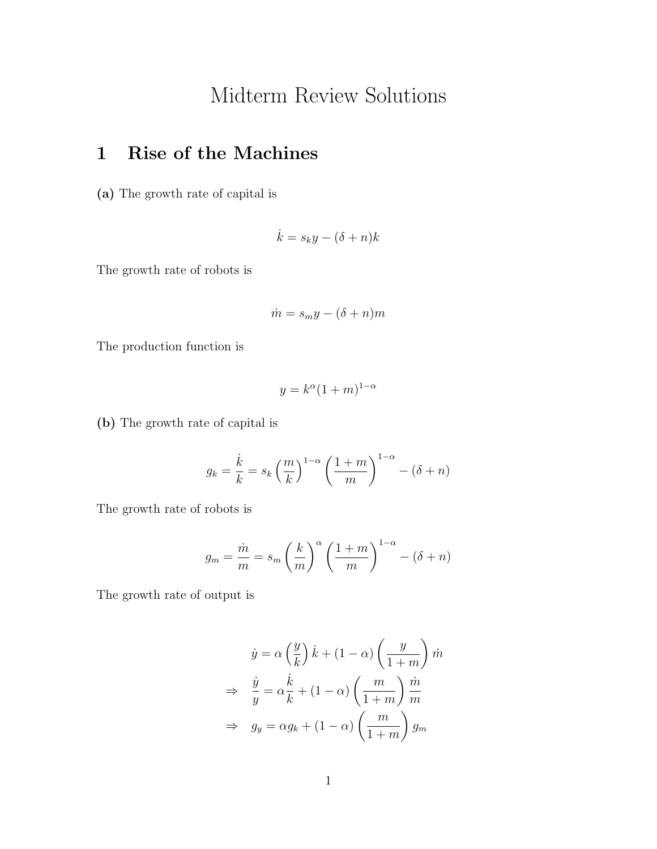## Midterm Review Solutions

## 1 Rise of the Machines

(a) The growth rate of capital is

$$
\dot{k} = s_k y - (\delta + n)k
$$

The growth rate of robots is

$$
\dot{m} = s_m y - (\delta + n)m
$$

The production function is

$$
y = k^{\alpha} (1+m)^{1-\alpha}
$$

(b) The growth rate of capital is

$$
g_k = \frac{\dot{k}}{k} = s_k \left(\frac{m}{k}\right)^{1-\alpha} \left(\frac{1+m}{m}\right)^{1-\alpha} - (\delta + n)
$$

The growth rate of robots is

$$
g_m = \frac{\dot{m}}{m} = s_m \left(\frac{k}{m}\right)^{\alpha} \left(\frac{1+m}{m}\right)^{1-\alpha} - (\delta + n)
$$

The growth rate of output is

$$
\dot{y} = \alpha \left(\frac{y}{k}\right) \dot{k} + (1 - \alpha) \left(\frac{y}{1 + m}\right) \dot{m}
$$

$$
\Rightarrow \frac{\dot{y}}{y} = \alpha \frac{\dot{k}}{k} + (1 - \alpha) \left(\frac{m}{1 + m}\right) \frac{\dot{m}}{m}
$$

$$
\Rightarrow g_y = \alpha g_k + (1 - \alpha) \left(\frac{m}{1 + m}\right) g_m
$$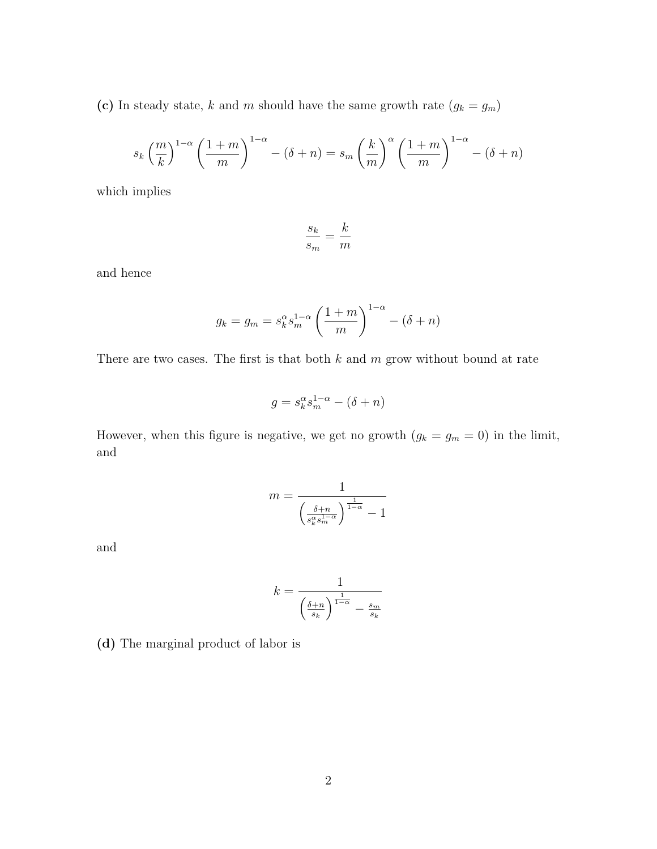(c) In steady state, *k* and *m* should have the same growth rate  $(g_k = g_m)$ 

$$
s_k \left(\frac{m}{k}\right)^{1-\alpha} \left(\frac{1+m}{m}\right)^{1-\alpha} - (\delta+n) = s_m \left(\frac{k}{m}\right)^{\alpha} \left(\frac{1+m}{m}\right)^{1-\alpha} - (\delta+n)
$$

which implies

$$
\frac{s_k}{s_m} = \frac{k}{m}
$$

and hence

$$
g_k = g_m = s_k^{\alpha} s_m^{1-\alpha} \left(\frac{1+m}{m}\right)^{1-\alpha} - (\delta + n)
$$

There are two cases. The first is that both *k* and *m* grow without bound at rate

$$
g = s_k^{\alpha} s_m^{1-\alpha} - (\delta + n)
$$

However, when this figure is negative, we get no growth  $(g_k = g_m = 0)$  in the limit, and

$$
m = \frac{1}{\left(\frac{\delta + n}{s_k^{\alpha} s_m^{1-\alpha}}\right)^{\frac{1}{1-\alpha}} - 1}
$$

and

$$
k = \frac{1}{\left(\frac{\delta + n}{s_k}\right)^{\frac{1}{1-\alpha}} - \frac{s_m}{s_k}}
$$

(d) The marginal product of labor is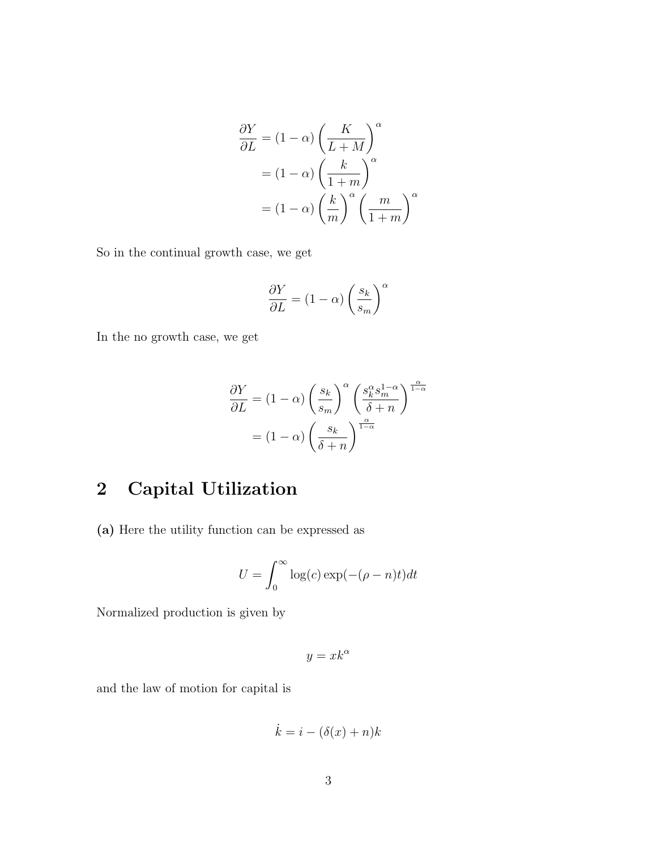$$
\frac{\partial Y}{\partial L} = (1 - \alpha) \left(\frac{K}{L + M}\right)^{\alpha}
$$

$$
= (1 - \alpha) \left(\frac{k}{1 + m}\right)^{\alpha}
$$

$$
= (1 - \alpha) \left(\frac{k}{m}\right)^{\alpha} \left(\frac{m}{1 + m}\right)^{\alpha}
$$

So in the continual growth case, we get

$$
\frac{\partial Y}{\partial L} = (1-\alpha) \left(\frac{s_k}{s_m}\right)^\alpha
$$

In the no growth case, we get

$$
\frac{\partial Y}{\partial L} = (1 - \alpha) \left(\frac{s_k}{s_m}\right)^{\alpha} \left(\frac{s_k^{\alpha} s_m^{1-\alpha}}{\delta + n}\right)^{\frac{\alpha}{1-\alpha}}
$$

$$
= (1 - \alpha) \left(\frac{s_k}{\delta + n}\right)^{\frac{\alpha}{1-\alpha}}
$$

## 2 Capital Utilization

(a) Here the utility function can be expressed as

$$
U = \int_0^\infty \log(c) \exp(-(\rho - n)t) dt
$$

Normalized production is given by

$$
y = x k^{\alpha}
$$

and the law of motion for capital is

$$
\dot{k} = i - (\delta(x) + n)k
$$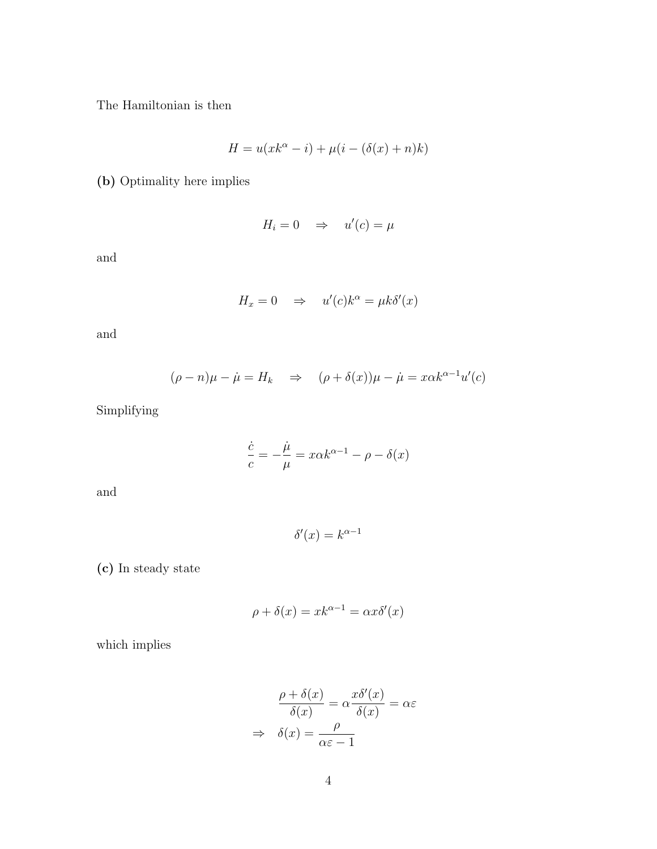The Hamiltonian is then

$$
H = u(xk^{\alpha} - i) + \mu(i - (\delta(x) + n)k)
$$

(b) Optimality here implies

$$
H_i = 0 \quad \Rightarrow \quad u'(c) = \mu
$$

and

$$
H_x = 0 \quad \Rightarrow \quad u'(c)k^{\alpha} = \mu k \delta'(x)
$$

and

$$
(\rho - n)\mu - \dot{\mu} = H_k \quad \Rightarrow \quad (\rho + \delta(x))\mu - \dot{\mu} = x\alpha k^{\alpha - 1}u'(c)
$$

Simplifying

$$
\frac{\dot{c}}{c} = -\frac{\dot{\mu}}{\mu} = x\alpha k^{\alpha - 1} - \rho - \delta(x)
$$

and

$$
\delta'(x) = k^{\alpha - 1}
$$

(c) In steady state

$$
\rho + \delta(x) = x k^{\alpha - 1} = \alpha x \delta'(x)
$$

which implies

$$
\frac{\rho + \delta(x)}{\delta(x)} = \alpha \frac{x \delta'(x)}{\delta(x)} = \alpha \varepsilon
$$

$$
\Rightarrow \delta(x) = \frac{\rho}{\alpha \varepsilon - 1}
$$